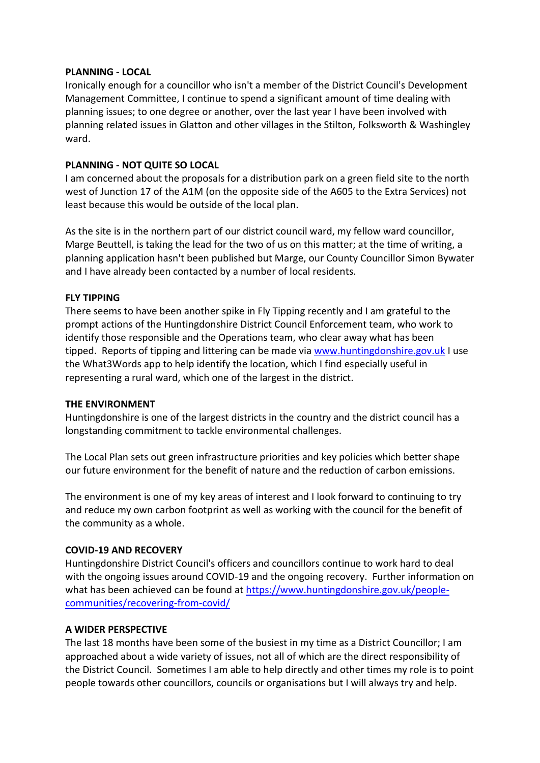### **PLANNING - LOCAL**

Ironically enough for a councillor who isn't a member of the District Council's Development Management Committee, I continue to spend a significant amount of time dealing with planning issues; to one degree or another, over the last year I have been involved with planning related issues in Glatton and other villages in the Stilton, Folksworth & Washingley ward.

# **PLANNING - NOT QUITE SO LOCAL**

I am concerned about the proposals for a distribution park on a green field site to the north west of Junction 17 of the A1M (on the opposite side of the A605 to the Extra Services) not least because this would be outside of the local plan.

As the site is in the northern part of our district council ward, my fellow ward councillor, Marge Beuttell, is taking the lead for the two of us on this matter; at the time of writing, a planning application hasn't been published but Marge, our County Councillor Simon Bywater and I have already been contacted by a number of local residents.

## **FLY TIPPING**

There seems to have been another spike in Fly Tipping recently and I am grateful to the prompt actions of the Huntingdonshire District Council Enforcement team, who work to identify those responsible and the Operations team, who clear away what has been tipped. Reports of tipping and littering can be made via [www.huntingdonshire.gov.uk](http://www.huntingdonshire.gov.uk/) I use the What3Words app to help identify the location, which I find especially useful in representing a rural ward, which one of the largest in the district.

#### **THE ENVIRONMENT**

Huntingdonshire is one of the largest districts in the country and the district council has a longstanding commitment to tackle environmental challenges.

The Local Plan sets out green infrastructure priorities and key policies which better shape our future environment for the benefit of nature and the reduction of carbon emissions.

The environment is one of my key areas of interest and I look forward to continuing to try and reduce my own carbon footprint as well as working with the council for the benefit of the community as a whole.

#### **COVID-19 AND RECOVERY**

Huntingdonshire District Council's officers and councillors continue to work hard to deal with the ongoing issues around COVID-19 and the ongoing recovery. Further information on what has been achieved can be found at [https://www.huntingdonshire.gov.uk/people](https://www.huntingdonshire.gov.uk/people-communities/recovering-from-covid/)[communities/recovering-from-covid/](https://www.huntingdonshire.gov.uk/people-communities/recovering-from-covid/)

#### **A WIDER PERSPECTIVE**

The last 18 months have been some of the busiest in my time as a District Councillor; I am approached about a wide variety of issues, not all of which are the direct responsibility of the District Council. Sometimes I am able to help directly and other times my role is to point people towards other councillors, councils or organisations but I will always try and help.